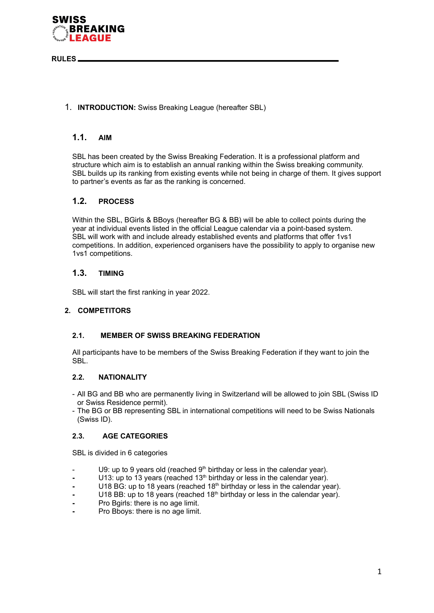

**RULES**

# 1. **INTRODUCTION:** Swiss Breaking League (hereafter SBL)

## **1.1. AIM**

SBL has been created by the Swiss Breaking Federation. It is a professional platform and structure which aim is to establish an annual ranking within the Swiss breaking community. SBL builds up its ranking from existing events while not being in charge of them. It gives support to partner's events as far as the ranking is concerned.

# **1.2. PROCESS**

Within the SBL, BGirls & BBoys (hereafter BG & BB) will be able to collect points during the year at individual events listed in the official League calendar via a point-based system. SBL will work with and include already established events and platforms that offer 1vs1 competitions. In addition, experienced organisers have the possibility to apply to organise new 1vs1 competitions.

## **1.3. TIMING**

SBL will start the first ranking in year 2022.

### **2. COMPETITORS**

### **2.1. MEMBER OF SWISS BREAKING FEDERATION**

All participants have to be members of the Swiss Breaking Federation if they want to join the SBL.

### **2.2. NATIONALITY**

- All BG and BB who are permanently living in Switzerland will be allowed to join SBL (Swiss ID or Swiss Residence permit).
- The BG or BB representing SBL in international competitions will need to be Swiss Nationals (Swiss ID).

### **2.3. AGE CATEGORIES**

SBL is divided in 6 categories

- U9: up to 9 years old (reached  $9<sup>th</sup>$  birthday or less in the calendar year).
- U13: up to 13 years (reached 13<sup>th</sup> birthday or less in the calendar year).
- U18 BG: up to 18 years (reached 18<sup>th</sup> birthday or less in the calendar year).
- U18 BB: up to 18 years (reached 18<sup>th</sup> birthday or less in the calendar year).
- **-** Pro Bgirls: there is no age limit.
- **-** Pro Bboys: there is no age limit.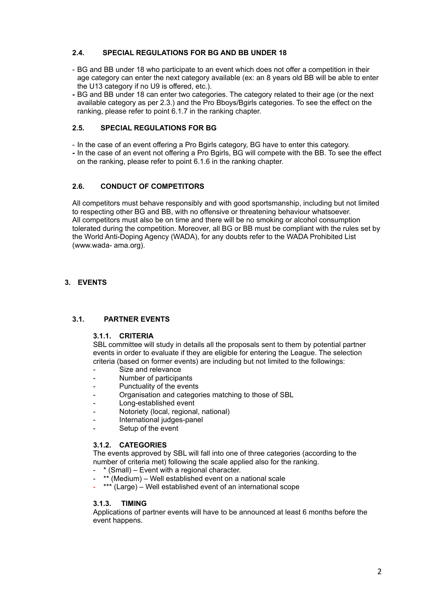## **2.4. SPECIAL REGULATIONS FOR BG AND BB UNDER 18**

- BG and BB under 18 who participate to an event which does not offer a competition in their age category can enter the next category available (ex: an 8 years old BB will be able to enter the U13 category if no U9 is offered, etc.).
- **-** BG and BB under 18 can enter two categories. The category related to their age (or the next available category as per 2.3.) and the Pro Bboys/Bgirls categories. To see the effect on the ranking, please refer to point 6.1.7 in the ranking chapter.

### **2.5. SPECIAL REGULATIONS FOR BG**

- In the case of an event offering a Pro Bgirls category, BG have to enter this category.
- **-** In the case of an event not offering a Pro Bgirls, BG will compete with the BB. To see the effect on the ranking, please refer to point 6.1.6 in the ranking chapter.

## **2.6. CONDUCT OF COMPETITORS**

All competitors must behave responsibly and with good sportsmanship, including but not limited to respecting other BG and BB, with no offensive or threatening behaviour whatsoever. All competitors must also be on time and there will be no smoking or alcohol consumption tolerated during the competition. Moreover, all BG or BB must be compliant with the rules set by the World Anti-Doping Agency (WADA), for any doubts refer to the WADA Prohibited List (www.wada- ama.org).

# **3. EVENTS**

### **3.1. PARTNER EVENTS**

### **3.1.1. CRITERIA**

SBL committee will study in details all the proposals sent to them by potential partner events in order to evaluate if they are eligible for entering the League. The selection criteria (based on former events) are including but not limited to the followings:

- Size and relevance
- Number of participants
- Punctuality of the events
- Organisation and categories matching to those of SBL
- Long-established event
- Notoriety (local, regional, national)
- International judges-panel
- Setup of the event

### **3.1.2. CATEGORIES**

The events approved by SBL will fall into one of three categories (according to the number of criteria met) following the scale applied also for the ranking.

- \* (Small) Event with a regional character.
- \*\* (Medium) Well established event on a national scale
- \*\*\* (Large) Well established event of an international scope

### **3.1.3. TIMING**

Applications of partner events will have to be announced at least 6 months before the event happens.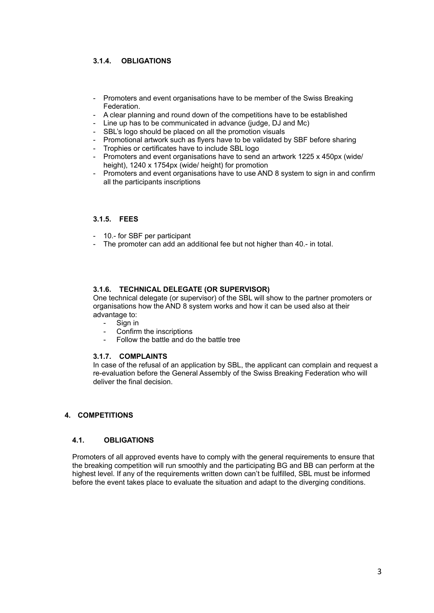# **3.1.4. OBLIGATIONS**

- Promoters and event organisations have to be member of the Swiss Breaking Federation.
- A clear planning and round down of the competitions have to be established
- Line up has to be communicated in advance (judge, DJ and Mc)
- SBL's logo should be placed on all the promotion visuals
- Promotional artwork such as flyers have to be validated by SBF before sharing
- Trophies or certificates have to include SBL logo
- Promoters and event organisations have to send an artwork 1225 x 450px (wide/ height), 1240 x 1754px (wide/ height) for promotion
- Promoters and event organisations have to use AND 8 system to sign in and confirm all the participants inscriptions

#### **3.1.5. FEES**

- 10.- for SBF per participant
- The promoter can add an additional fee but not higher than 40.- in total.

### **3.1.6. TECHNICAL DELEGATE (OR SUPERVISOR)**

One technical delegate (or supervisor) of the SBL will show to the partner promoters or organisations how the AND 8 system works and how it can be used also at their advantage to:

- Sign in
- Confirm the inscriptions
- Follow the battle and do the battle tree

#### **3.1.7. COMPLAINTS**

In case of the refusal of an application by SBL, the applicant can complain and request a re-evaluation before the General Assembly of the Swiss Breaking Federation who will deliver the final decision.

#### **4. COMPETITIONS**

#### **4.1. OBLIGATIONS**

Promoters of all approved events have to comply with the general requirements to ensure that the breaking competition will run smoothly and the participating BG and BB can perform at the highest level. If any of the requirements written down can't be fulfilled, SBL must be informed before the event takes place to evaluate the situation and adapt to the diverging conditions.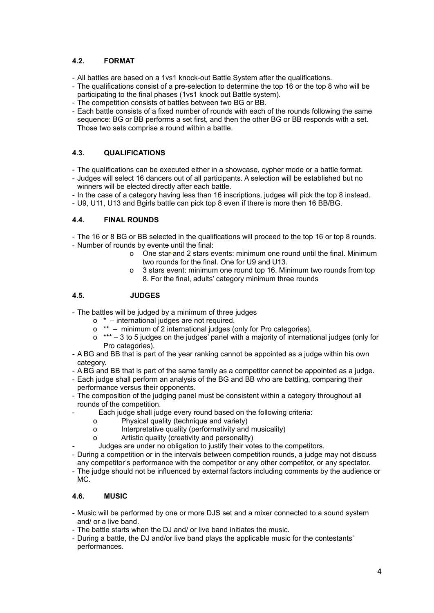# **4.2. FORMAT**

- All battles are based on a 1vs1 knock-out Battle System after the qualifications.
- The qualifications consist of a pre-selection to determine the top 16 or the top 8 who will be participating to the final phases (1vs1 knock out Battle system).
- The competition consists of battles between two BG or BB.
- Each battle consists of a fixed number of rounds with each of the rounds following the same sequence: BG or BB performs a set first, and then the other BG or BB responds with a set. Those two sets comprise a round within a battle.

# **4.3. QUALIFICATIONS**

- The qualifications can be executed either in a showcase, cypher mode or a battle format.
- Judges will select 16 dancers out of all participants. A selection will be established but no winners will be elected directly after each battle.
- In the case of a category having less than 16 inscriptions, judges will pick the top 8 instead.
- U9, U11, U13 and Bgirls battle can pick top 8 even if there is more then 16 BB/BG.

## **4.4. FINAL ROUNDS**

- The 16 or 8 BG or BB selected in the qualifications will proceed to the top 16 or top 8 rounds. - Number of rounds by events until the final:
	- o One star and 2 stars events: minimum one round until the final. Minimum two rounds for the final. One for U9 and U13.
	- o 3 stars event: minimum one round top 16. Minimum two rounds from top 8. For the final, adults' category minimum three rounds

# **4.5. JUDGES**

- The battles will be judged by a minimum of three judges
	- o \* international judges are not required.
	- o \*\* minimum of 2 international judges (only for Pro categories).
	- o \*\*\* 3 to 5 judges on the judges' panel with a majority of international judges (only for Pro categories).
- A BG and BB that is part of the year ranking cannot be appointed as a judge within his own category.
- A BG and BB that is part of the same family as a competitor cannot be appointed as a judge.
- Each judge shall perform an analysis of the BG and BB who are battling, comparing their performance versus their opponents.
- The composition of the judging panel must be consistent within a category throughout all rounds of the competition.
- Each judge shall judge every round based on the following criteria:
	- o Physical quality (technique and variety)
	- o Interpretative quality (performativity and musicality)
	- o Artistic quality (creativity and personality)
- Judges are under no obligation to justify their votes to the competitors.
- During a competition or in the intervals between competition rounds, a judge may not discuss
- any competitor's performance with the competitor or any other competitor, or any spectator.
- The judge should not be influenced by external factors including comments by the audience or MC.

# **4.6. MUSIC**

- Music will be performed by one or more DJS set and a mixer connected to a sound system and/ or a live band.
- The battle starts when the DJ and/ or live band initiates the music.
- During a battle, the DJ and/or live band plays the applicable music for the contestants' performances.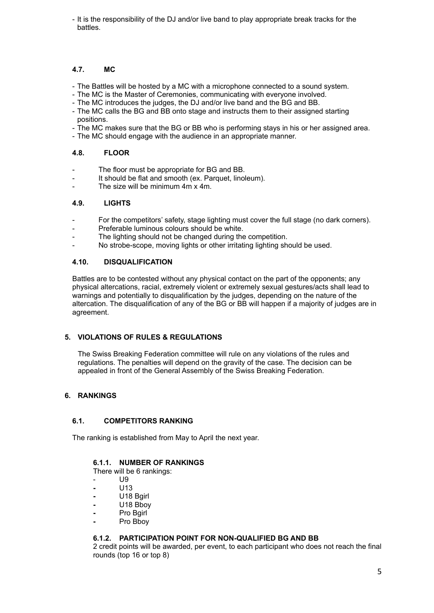- It is the responsibility of the DJ and/or live band to play appropriate break tracks for the battles.

## **4.7. MC**

- The Battles will be hosted by a MC with a microphone connected to a sound system.
- The MC is the Master of Ceremonies, communicating with everyone involved.
- The MC introduces the judges, the DJ and/or live band and the BG and BB.
- The MC calls the BG and BB onto stage and instructs them to their assigned starting positions.
- The MC makes sure that the BG or BB who is performing stays in his or her assigned area.
- The MC should engage with the audience in an appropriate manner.

### **4.8. FLOOR**

- The floor must be appropriate for BG and BB.
- It should be flat and smooth (ex. Parquet, linoleum).
- The size will be minimum 4m x 4m.

### **4.9. LIGHTS**

- For the competitors' safety, stage lighting must cover the full stage (no dark corners).
- Preferable luminous colours should be white.
- The lighting should not be changed during the competition.
- No strobe-scope, moving lights or other irritating lighting should be used.

### **4.10. DISQUALIFICATION**

Battles are to be contested without any physical contact on the part of the opponents; any physical altercations, racial, extremely violent or extremely sexual gestures/acts shall lead to warnings and potentially to disqualification by the judges, depending on the nature of the altercation. The disqualification of any of the BG or BB will happen if a majority of judges are in agreement.

### **5. VIOLATIONS OF RULES & REGULATIONS**

The Swiss Breaking Federation committee will rule on any violations of the rules and regulations. The penalties will depend on the gravity of the case. The decision can be appealed in front of the General Assembly of the Swiss Breaking Federation.

### **6. RANKINGS**

### **6.1. COMPETITORS RANKING**

The ranking is established from May to April the next year.

### **6.1.1. NUMBER OF RANKINGS**

There will be 6 rankings:

- U9
- **-** U13
- **-** U18 Bgirl
- **-** U18 Bboy
- **-** Pro Bgirl
- **-** Pro Bboy

### **6.1.2. PARTICIPATION POINT FOR NON-QUALIFIED BG AND BB**

2 credit points will be awarded, per event, to each participant who does not reach the final rounds (top 16 or top 8)